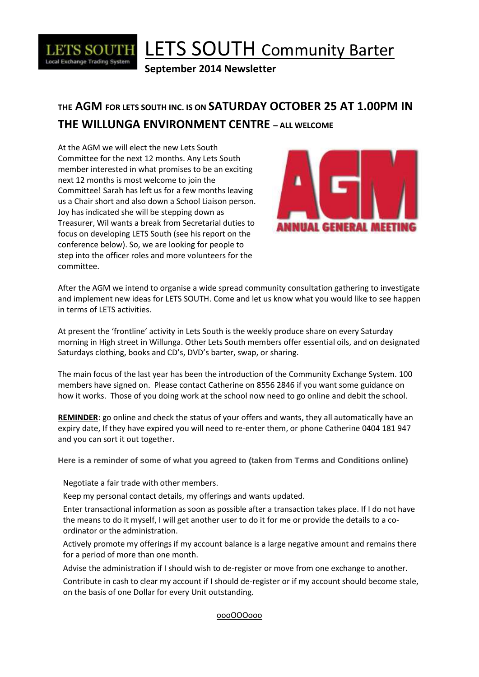

# LETS SOUTH Community Barter

**September 2014 Newsletter**

### **THE AGM FOR LETS SOUTH INC. IS ON SATURDAY OCTOBER 25 AT 1.00PM IN THE WILLUNGA ENVIRONMENT CENTRE – ALL WELCOME**

At the AGM we will elect the new Lets South Committee for the next 12 months. Any Lets South member interested in what promises to be an exciting next 12 months is most welcome to join the Committee! Sarah has left us for a few months leaving us a Chair short and also down a School Liaison person. Joy has indicated she will be stepping down as Treasurer, Wil wants a break from Secretarial duties to focus on developing LETS South (see his report on the conference below). So, we are looking for people to step into the officer roles and more volunteers for the committee.



After the AGM we intend to organise a wide spread community consultation gathering to investigate and implement new ideas for LETS SOUTH. Come and let us know what you would like to see happen in terms of LETS activities.

At present the 'frontline' activity in Lets South is the weekly produce share on every Saturday morning in High street in Willunga. Other Lets South members offer essential oils, and on designated Saturdays clothing, books and CD's, DVD's barter, swap, or sharing.

The main focus of the last year has been the introduction of the Community Exchange System. 100 members have signed on. Please contact Catherine on 8556 2846 if you want some guidance on how it works. Those of you doing work at the school now need to go online and debit the school.

**REMINDER**: go online and check the status of your offers and wants, they all automatically have an expiry date, If they have expired you will need to re-enter them, or phone Catherine 0404 181 947 and you can sort it out together.

**Here is a reminder of some of what you agreed to (taken from Terms and Conditions online)**

Negotiate a fair trade with other members.

Keep my personal contact details, my offerings and wants updated.

Enter transactional information as soon as possible after a transaction takes place. If I do not have the means to do it myself, I will get another user to do it for me or provide the details to a coordinator or the administration.

Actively promote my offerings if my account balance is a large negative amount and remains there for a period of more than one month.

Advise the administration if I should wish to de-register or move from one exchange to another.

Contribute in cash to clear my account if I should de-register or if my account should become stale, on the basis of one Dollar for every Unit outstanding.

oooOOOooo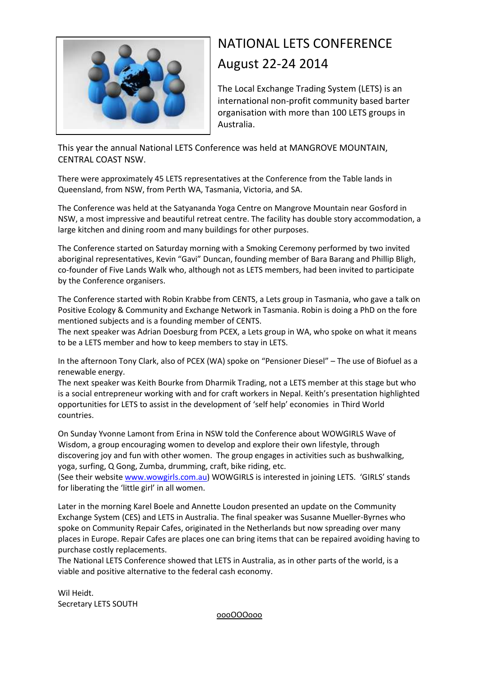

## NATIONAL LETS CONFERENCE August 22-24 2014

The Local Exchange Trading System (LETS) is an international non-profit community based barter organisation with more than 100 LETS groups in Australia.

This year the annual National LETS Conference was held at MANGROVE MOUNTAIN, CENTRAL COAST NSW.

There were approximately 45 LETS representatives at the Conference from the Table lands in Queensland, from NSW, from Perth WA, Tasmania, Victoria, and SA.

The Conference was held at the Satyananda Yoga Centre on Mangrove Mountain near Gosford in NSW, a most impressive and beautiful retreat centre. The facility has double story accommodation, a large kitchen and dining room and many buildings for other purposes.

The Conference started on Saturday morning with a Smoking Ceremony performed by two invited aboriginal representatives, Kevin "Gavi" Duncan, founding member of Bara Barang and Phillip Bligh, co-founder of Five Lands Walk who, although not as LETS members, had been invited to participate by the Conference organisers.

The Conference started with Robin Krabbe from CENTS, a Lets group in Tasmania, who gave a talk on Positive Ecology & Community and Exchange Network in Tasmania. Robin is doing a PhD on the fore mentioned subjects and is a founding member of CENTS.

The next speaker was Adrian Doesburg from PCEX, a Lets group in WA, who spoke on what it means to be a LETS member and how to keep members to stay in LETS.

In the afternoon Tony Clark, also of PCEX (WA) spoke on "Pensioner Diesel" – The use of Biofuel as a renewable energy.

The next speaker was Keith Bourke from Dharmik Trading, not a LETS member at this stage but who is a social entrepreneur working with and for craft workers in Nepal. Keith's presentation highlighted opportunities for LETS to assist in the development of 'self help' economies in Third World countries.

On Sunday Yvonne Lamont from Erina in NSW told the Conference about WOWGIRLS Wave of Wisdom, a group encouraging women to develop and explore their own lifestyle, through discovering joy and fun with other women. The group engages in activities such as bushwalking, yoga, surfing, Q Gong, Zumba, drumming, craft, bike riding, etc.

(See their website [www.wowgirls.com.au\)](http://www.wowgirls.com.au/) WOWGIRLS is interested in joining LETS. 'GIRLS' stands for liberating the 'little girl' in all women.

Later in the morning Karel Boele and Annette Loudon presented an update on the Community Exchange System (CES) and LETS in Australia. The final speaker was Susanne Mueller-Byrnes who spoke on Community Repair Cafes, originated in the Netherlands but now spreading over many places in Europe. Repair Cafes are places one can bring items that can be repaired avoiding having to purchase costly replacements.

The National LETS Conference showed that LETS in Australia, as in other parts of the world, is a viable and positive alternative to the federal cash economy.

Wil Heidt. Secretary LETS SOUTH

oooOOOooo